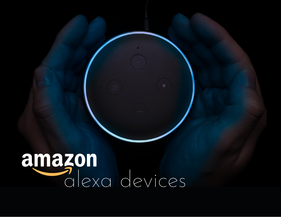# alexa devices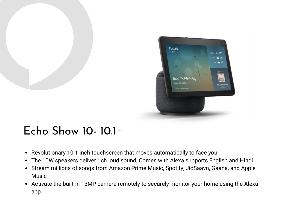

# Echo Show 10- 10.1

- Revolutionary 10.1 inch touchscreen that moves automatically to face you
- The 10W speakers deliver rich loud sound, Comes with Alexa supports English and Hindi
- Stream millions of songs from Amazon Prime Music, Spotify, JioSaavn, Gaana, and Apple Music
- Activate the built-in 13MP camera remotely to securely monitor your home using the Alexa app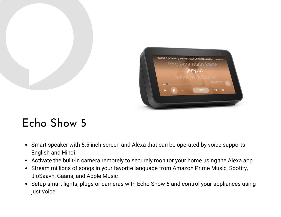

## Echo Show 5

- Smart speaker with 5.5 inch screen and Alexa that can be operated by voice supports English and Hindi
- Activate the built-in camera remotely to securely monitor your home using the Alexa app
- Stream millions of songs in your favorite language from Amazon Prime Music, Spotify, JioSaavn, Gaana, and Apple Music
- Setup smart lights, plugs or cameras with Echo Show 5 and control your appliances using just voice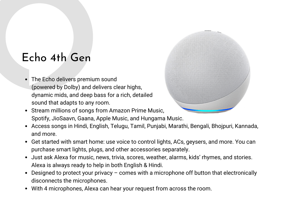#### Echo 4th Gen

- The Echo delivers premium sound (powered by Dolby) and delivers clear highs, dynamic mids, and deep bass for a rich, detailed sound that adapts to any room.
- Stream millions of songs from Amazon Prime Music, Spotify, JioSaavn, Gaana, Apple Music, and Hungama Music.
- Access songs in Hindi, English, Telugu, Tamil, Punjabi, Marathi, Bengali, Bhojpuri, Kannada, and more.
- Get started with smart home: use voice to control lights, ACs, geysers, and more. You can purchase smart lights, plugs, and other accessories separately.
- Just ask Alexa for music, news, trivia, scores, weather, alarms, kids' rhymes, and stories. Alexa is always ready to help in both English & Hindi.
- Designed to protect your privacy comes with a microphone off button that electronically disconnects the microphones.
- With 4 microphones, Alexa can hear your request from across the room.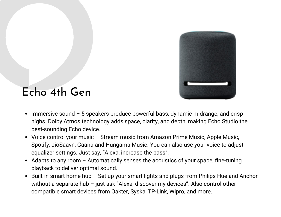

#### Echo 4th Gen

- $\bullet$  Immersive sound  $-5$  speakers produce powerful bass, dynamic midrange, and crisp highs. Dolby Atmos technology adds space, clarity, and depth, making Echo Studio the best-sounding Echo device.
- Voice control your music Stream music from Amazon Prime Music, Apple Music, Spotify, JioSaavn, Gaana and Hungama Music. You can also use your voice to adjust equalizer settings. Just say, "Alexa, increase the bass".
- Adapts to any room  $-$  Automatically senses the acoustics of your space, fine-tuning playback to deliver optimal sound.
- Built-in smart home hub Set up your smart lights and plugs from Philips Hue and Anchor without a separate hub – just ask "Alexa, discover my devices". Also control other compatible smart devices from Oakter, Syska, TP-Link, Wipro, and more.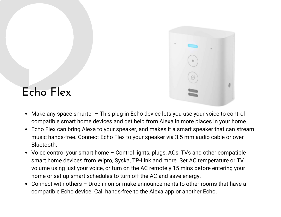

# Echo Flex

- Make any space smarter This plug-in Echo device lets you use your voice to control compatible smart home devices and get help from Alexa in more places in your home.
- Echo Flex can bring Alexa to your speaker, and makes it a smart speaker that can stream music hands-free. Connect Echo Flex to your speaker via 3.5 mm audio cable or over Bluetooth.
- Voice control your smart home Control lights, plugs, ACs, TVs and other compatible smart home devices from Wipro, Syska, TP-Link and more. Set AC temperature or TV volume using just your voice, or turn on the AC remotely 15 mins before entering your home or set up smart schedules to turn off the AC and save energy.
- Connect with others Drop in on or make announcements to other rooms that have a compatible Echo device. Call hands-free to the Alexa app or another Echo.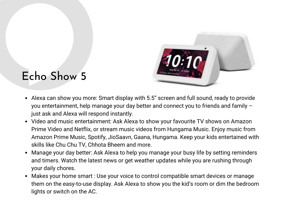

#### Echo Show 5

- Alexa can show you more: Smart display with 5.5" screen and full sound, ready to provide you entertainment, help manage your day better and connect you to friends and family – just ask and Alexa will respond instantly.
- Video and music entertainment: Ask Alexa to show your favourite TV shows on Amazon Prime Video and Netflix, or stream music videos from Hungama Music. Enjoy music from Amazon Prime Music, Spotify, JioSaavn, Gaana, Hungama. Keep your kids entertained with skills like Chu Chu TV, Chhota Bheem and more.
- Manage your day better: Ask Alexa to help you manage your busy life by setting reminders and timers. Watch the latest news or get weather updates while you are rushing through your daily chores.
- Makes your home smart : Use your voice to control compatible smart devices or manage them on the easy-to-use display. Ask Alexa to show you the kid's room or dim the bedroom lights or switch on the AC.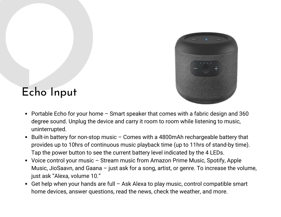

#### Echo Input

- Portable Echo for your home  $-$  Smart speaker that comes with a fabric design and 360 degree sound. Unplug the device and carry it room to room while listening to music, uninterrupted.
- Built-in battery for non-stop music Comes with a 4800mAh rechargeable battery that provides up to 10hrs of continuous music playback time (up to 11hrs of stand-by time). Tap the power button to see the current battery level indicated by the 4 LEDs.
- Voice control your music Stream music from Amazon Prime Music, Spotify, Apple Music, JioSaavn, and Gaana – just ask for a song, artist, or genre. To increase the volume, just ask "Alexa, volume 10."
- Get help when your hands are full Ask Alexa to play music, control compatible smart home devices, answer questions, read the news, check the weather, and more.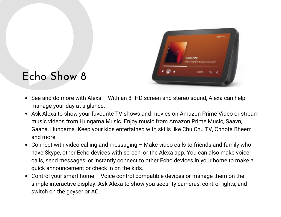

## Echo Show 8

- See and do more with Alexa With an 8" HD screen and stereo sound, Alexa can help manage your day at a glance.
- Ask Alexa to show your favourite TV shows and movies on Amazon Prime Video or stream music videos from Hungama Music. Enjoy music from Amazon Prime Music, Saavn, Gaana, Hungama. Keep your kids entertained with skills like Chu Chu TV, Chhota Bheem and more.
- Connect with video calling and messaging Make video calls to friends and family who have Skype, other Echo devices with screen, or the Alexa app. You can also make voice calls, send messages, or instantly connect to other Echo devices in your home to make a quick announcement or check in on the kids.
- Control your smart home Voice control compatible devices or manage them on the simple interactive display. Ask Alexa to show you security cameras, control lights, and switch on the geyser or AC.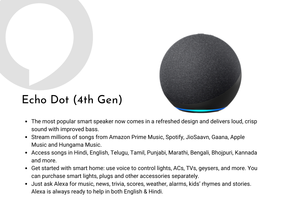

# Echo Dot (4th Gen)

- The most popular smart speaker now comes in a refreshed design and delivers loud, crisp sound with improved bass.
- Stream millions of songs from Amazon Prime Music, Spotify, JioSaavn, Gaana, Apple Music and Hungama Music.
- Access songs in Hindi, English, Telugu, Tamil, Punjabi, Marathi, Bengali, Bhojpuri, Kannada and more.
- Get started with smart home: use voice to control lights, ACs, TVs, geysers, and more. You can purchase smart lights, plugs and other accessories separately.
- Just ask Alexa for music, news, trivia, scores, weather, alarms, kids' rhymes and stories. Alexa is always ready to help in both English & Hindi.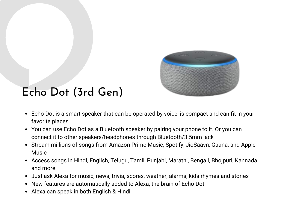

# Echo Dot (3rd Gen)

- Echo Dot is a smart speaker that can be operated by voice, is compact and can fit in your favorite places
- You can use Echo Dot as a Bluetooth speaker by pairing your phone to it. Or you can connect it to other speakers/headphones through Bluetooth/3.5mm jack
- Stream millions of songs from Amazon Prime Music, Spotify, JioSaavn, Gaana, and Apple **Music**
- Access songs in Hindi, English, Telugu, Tamil, Punjabi, Marathi, Bengali, Bhojpuri, Kannada and more
- Just ask Alexa for music, news, trivia, scores, weather, alarms, kids rhymes and stories
- New features are automatically added to Alexa, the brain of Echo Dot
- Alexa can speak in both English & Hindi